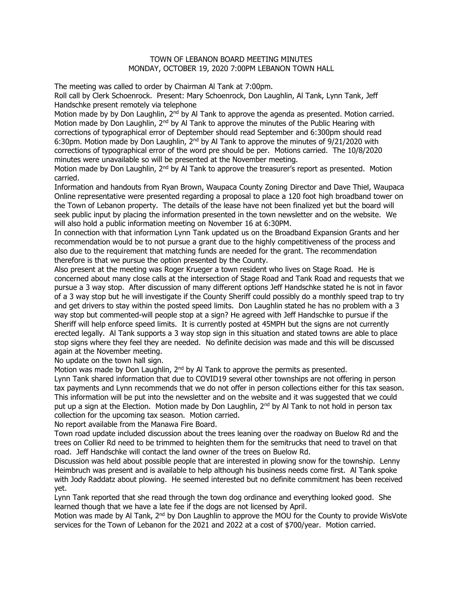## TOWN OF LEBANON BOARD MEETING MINUTES MONDAY, OCTOBER 19, 2020 7:00PM LEBANON TOWN HALL

The meeting was called to order by Chairman Al Tank at 7:00pm.

Roll call by Clerk Schoenrock. Present: Mary Schoenrock, Don Laughlin, Al Tank, Lynn Tank, Jeff Handschke present remotely via telephone

Motion made by by Don Laughlin, 2<sup>nd</sup> by Al Tank to approve the agenda as presented. Motion carried. Motion made by Don Laughlin, 2<sup>nd</sup> by Al Tank to approve the minutes of the Public Hearing with corrections of typographical error of Deptember should read September and 6:300pm should read 6:30pm. Motion made by Don Laughlin,  $2<sup>nd</sup>$  by Al Tank to approve the minutes of 9/21/2020 with corrections of typographical error of the word pre should be per. Motions carried. The 10/8/2020 minutes were unavailable so will be presented at the November meeting.

Motion made by Don Laughlin, 2<sup>nd</sup> by Al Tank to approve the treasurer's report as presented. Motion carried.

Information and handouts from Ryan Brown, Waupaca County Zoning Director and Dave Thiel, Waupaca Online representative were presented regarding a proposal to place a 120 foot high broadband tower on the Town of Lebanon property. The details of the lease have not been finalized yet but the board will seek public input by placing the information presented in the town newsletter and on the website. We will also hold a public information meeting on November 16 at 6:30PM.

In connection with that information Lynn Tank updated us on the Broadband Expansion Grants and her recommendation would be to not pursue a grant due to the highly competitiveness of the process and also due to the requirement that matching funds are needed for the grant. The recommendation therefore is that we pursue the option presented by the County.

Also present at the meeting was Roger Krueger a town resident who lives on Stage Road. He is concerned about many close calls at the intersection of Stage Road and Tank Road and requests that we pursue a 3 way stop. After discussion of many different options Jeff Handschke stated he is not in favor of a 3 way stop but he will investigate if the County Sheriff could possibly do a monthly speed trap to try and get drivers to stay within the posted speed limits. Don Laughlin stated he has no problem with a 3 way stop but commented-will people stop at a sign? He agreed with Jeff Handschke to pursue if the Sheriff will help enforce speed limits. It is currently posted at 45MPH but the signs are not currently erected legally. Al Tank supports a 3 way stop sign in this situation and stated towns are able to place stop signs where they feel they are needed. No definite decision was made and this will be discussed again at the November meeting.

No update on the town hall sign.

Motion was made by Don Laughlin,  $2<sup>nd</sup>$  by Al Tank to approve the permits as presented.

Lynn Tank shared information that due to COVID19 several other townships are not offering in person tax payments and Lynn recommends that we do not offer in person collections either for this tax season. This information will be put into the newsletter and on the website and it was suggested that we could put up a sign at the Election. Motion made by Don Laughlin,  $2^{nd}$  by Al Tank to not hold in person tax collection for the upcoming tax season. Motion carried.

No report available from the Manawa Fire Board.

Town road update included discussion about the trees leaning over the roadway on Buelow Rd and the trees on Collier Rd need to be trimmed to heighten them for the semitrucks that need to travel on that road. Jeff Handschke will contact the land owner of the trees on Buelow Rd.

Discussion was held about possible people that are interested in plowing snow for the township. Lenny Heimbruch was present and is available to help although his business needs come first. Al Tank spoke with Jody Raddatz about plowing. He seemed interested but no definite commitment has been received yet.

Lynn Tank reported that she read through the town dog ordinance and everything looked good. She learned though that we have a late fee if the dogs are not licensed by April.

Motion was made by Al Tank, 2<sup>nd</sup> by Don Laughlin to approve the MOU for the County to provide WisVote services for the Town of Lebanon for the 2021 and 2022 at a cost of \$700/year. Motion carried.